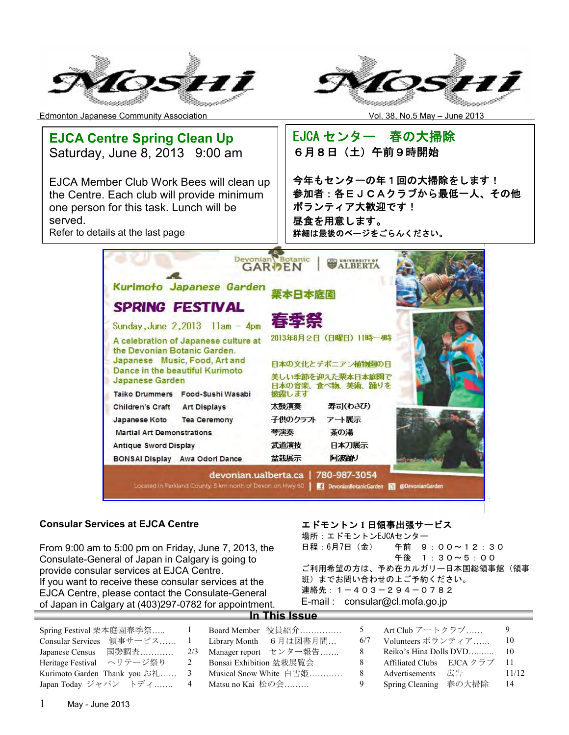



Edmonton Japanese Community Association Vol. 38, No.5 May – June 2013



#### **Consular Services at EJCA Centre**

From 9:00 am to 5:00 pm on Friday, June 7, 2013, the Consulate-General of Japan in Calgary is going to provide consular services at EJCA Centre. If you want to receive these consular services at the EJCA Centre, please contact the Consulate-General of Japan in Calgary at (403)297-0782 for appointment.

#### エドモントン **1** 日領事出張サービス

場所:エドモントンEJCAセンター 日程:6月7日(金) 午前 9:00~12:30 午後 1:30~5:00 ご利用希望の方は、予め在カルガリー日本国総領事館(領事 班)までお問い合わせの上ご予約ください。 連絡先:1-403-294-0782 E-mail : consular@cl.mofa.go.jp

| Spring Festival 栗本庭園春季祭<br>Consular Services 領事サービス<br>Japanese Census 国勢調査 |   | Board Member 役員紹介<br>Library Month 6月は図書月間<br>2/3 Manager report センター報告 | 6/7<br>8 | Art Club アートクラブ<br>Volunteers ボランティア            | -9<br>-10     |
|-----------------------------------------------------------------------------|---|-------------------------------------------------------------------------|----------|-------------------------------------------------|---------------|
| Heritage Festival ヘリテージ祭り                                                   | 2 | Bonsai Exhibition 盆栽展覧会                                                 | 8        | Affiliated Clubs EJCA $2\overrightarrow{57}$ 11 |               |
| Kurimoto Garden Thank you お礼<br>Japan Today ジャパン トディ                        | 3 | Musical Snow White 白雪姫<br>4       Matsu no Kai  松の会                     | 8<br>9   | Advertisements 広告<br>Spring Cleaning 春の大掃除      | 11/12<br>- 14 |

**In This Issue**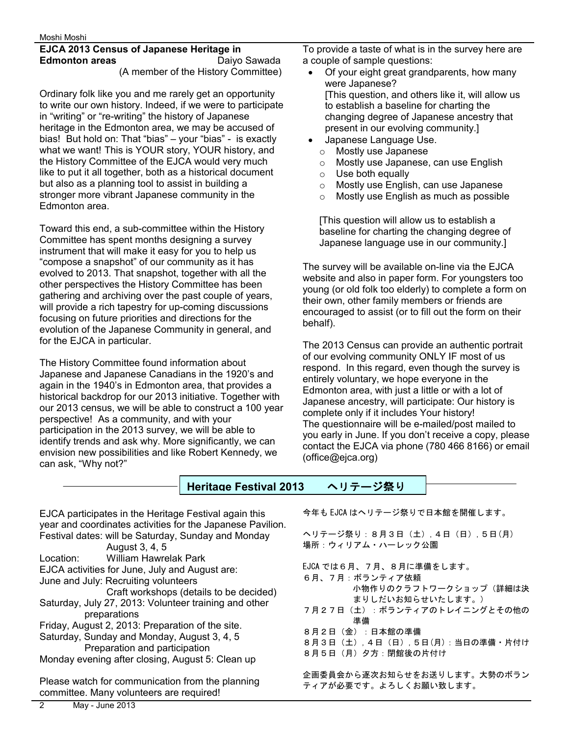#### **EJCA 2013 Census of Japanese Heritage in Edmonton areas Daiyo Sawada**

(A member of the History Committee)

Ordinary folk like you and me rarely get an opportunity to write our own history. Indeed, if we were to participate in "writing" or "re-writing" the history of Japanese heritage in the Edmonton area, we may be accused of bias! But hold on: That "bias" – your "bias" - is exactly what we want! This is YOUR story, YOUR history, and the History Committee of the EJCA would very much like to put it all together, both as a historical document but also as a planning tool to assist in building a stronger more vibrant Japanese community in the Edmonton area.

Toward this end, a sub-committee within the History Committee has spent months designing a survey instrument that will make it easy for you to help us "compose a snapshot" of our community as it has evolved to 2013. That snapshot, together with all the other perspectives the History Committee has been gathering and archiving over the past couple of years, will provide a rich tapestry for up-coming discussions focusing on future priorities and directions for the evolution of the Japanese Community in general, and for the EJCA in particular.

The History Committee found information about Japanese and Japanese Canadians in the 1920's and again in the 1940's in Edmonton area, that provides a historical backdrop for our 2013 initiative. Together with our 2013 census, we will be able to construct a 100 year perspective! As a community, and with your participation in the 2013 survey, we will be able to identify trends and ask why. More significantly, we can envision new possibilities and like Robert Kennedy, we can ask, "Why not?"

To provide a taste of what is in the survey here are a couple of sample questions:

- · Of your eight great grandparents, how many were Japanese? [This question, and others like it, will allow us to establish a baseline for charting the changing degree of Japanese ancestry that present in our evolving community.]
- · Japanese Language Use.
	- o Mostly use Japanese
	- o Mostly use Japanese, can use English
	- o Use both equally
	- o Mostly use English, can use Japanese
	- o Mostly use English as much as possible

[This question will allow us to establish a baseline for charting the changing degree of Japanese language use in our community.]

The survey will be available on-line via the EJCA website and also in paper form. For youngsters too young (or old folk too elderly) to complete a form on their own, other family members or friends are encouraged to assist (or to fill out the form on their behalf).

The 2013 Census can provide an authentic portrait of our evolving community ONLY IF most of us respond. In this regard, even though the survey is entirely voluntary, we hope everyone in the Edmonton area, with just a little or with a lot of Japanese ancestry, will participate: Our history is complete only if it includes Your history! The questionnaire will be e-mailed/post mailed to you early in June. If you don't receive a copy, please contact the EJCA via phone (780 466 8166) or email (office@ejca.org)

**Heritage Festival 2013** ヘリテージ祭り

EJCA participates in the Heritage Festival again this year and coordinates activities for the Japanese Pavilion. Festival dates: will be Saturday, Sunday and Monday August 3, 4, 5 Location: William Hawrelak Park EJCA activities for June, July and August are: June and July: Recruiting volunteers Craft workshops (details to be decided) Saturday, July 27, 2013: Volunteer training and other preparations Friday, August 2, 2013: Preparation of the site. Saturday, Sunday and Monday, August 3, 4, 5 Preparation and participation Monday evening after closing, August 5: Clean up Please watch for communication from the planning committee. Many volunteers are required!

今年も EJCA はヘリテージ祭りで日本館を開催します。

ヘリテージ祭り:8月3日(土),4日(日),5日(月) 場所:ウィリアム・ハーレック公園

EJCA では6月、7月、8月に準備をします。 6月、7月:ボランティア依頼 小物作りのクラフトワークショップ(詳細は決 まりしだいお知らせいたします。) 7月27日(土):ボランティアのトレイニングとその他の 準備 8月2日(金):日本館の準備 8月3日(土),4日(日),5日(月):当日の準備・片付け 8月5日(月)夕方:閉館後の片付け

企画委員会から逐次お知らせをお送りします。大勢のボラン ティアが必要です。よろしくお願い致します。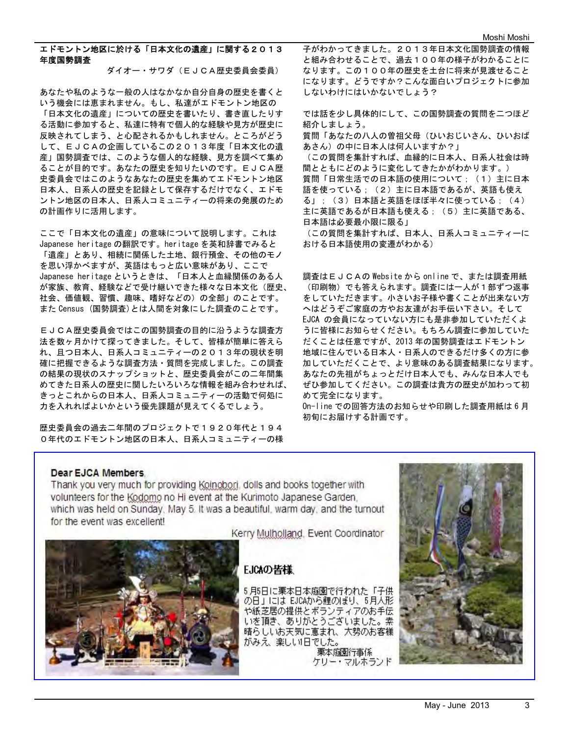#### エドモントン地区に於ける「日本文化の遺産」に関する2013 年度国勢調査

ダイオー・サワダ(EJCA歴史委員会委員)

あなたや私のような一般の人はなかなか自分自身の歴史を書くと いう機会には恵まれません。もし、私達がエドモントン地区の 「日本文化の遺産」についての歴史を書いたり、書き直したりす る活動に参加すると、私達に特有で個人的な経験や見方が歴史に 反映されてしまう、と心配されるかもしれません。ところがどう して、EJCAの企画しているこの2013年度「日本文化の遺 産」国勢調査では、このような個人的な経験、見方を調べて集め ることが目的です。あなたの歴史を知りたいのです。EJCA歴 史委員会ではこのようなあなたの歴史を集めてエドモントン地区 日本人、日系人の歴史を記録として保存するだけでなく、エドモ ントン地区の日本人、日系人コミュニティーの将来の発展のため の計画作りに活用します。

ここで「日本文化の遺産」の意味について説明します。これは Japanese heritage の翻訳です。heritage を英和辞書でみると 「遺産」とあり、相続に関係した土地、銀行預金、その他のモノ を思い浮かべますが、英語はもっと広い意味があり、ここで Japanese heritage というときは、「日本人と血縁関係のある人 が家族、教育、経験などで受け継いできた様々な日本文化(歴史、 社会、価値観、習慣、趣味、嗜好などの)の全部」のことです。 また Census (国勢調査)とは人間を対象にした調査のことです。

EJCA歴史委員会ではこの国勢調査の目的に沿うような調査方 法を数ヶ月かけて探ってきました。そして、皆様が簡単に答えら れ、且つ日本人、日系人コミュニティーの2013年の現状を明 確に把握できるような調査方法・質問を完成しました。この調査 の結果の現状のスナップショットと、歴史委員会がこの二年間集 めてきた日系人の歴史に関したいろいろな情報を組み合わせれば、 きっとこれからの日本人、日系人コミュニティーの活動で何処に 力を入れればよいかという優先課題が見えてくるでしょう。

歴史委員会の過去二年間のプロジェクトで1920年代と194 0年代のエドモントン地区の日本人、日系人コミュニティーの様 子がわかってきました。2013年日本文化国勢調査の情報 と組み合わせることで、過去100年の様子がわかることに なります。この100年の歴史を土台に将来が見渡せること になります。どうですか?こんな面白いプロジェクトに参加 しないわけにはいかないでしょう?

では話を少し具体的にして、この国勢調査の質問を二つほど 紹介しましょう。 質問「あなたの八人の曽祖父母(ひいおじいさん、ひいおば あさん)の中に日本人は何人いますか?」 (この質問を集計すれば、血縁的に日本人、日系人社会は時 間とともにどのように変化してきたかがわかります。) 質問「日常生活での日本語の使用について;(1)主に日本 語を使っている; (2) 主に日本語であるが、英語も使え る」;(3)日本語と英語をほぼ半々に使っている;(4) 主に英語であるが日本語も使える;(5)主に英語である、 日本語は必要最小限に限る」

(この質問を集計すれば、日本人、日系人コミュニティーに おける日本語使用の変遷がわかる)

調査はEJCAの Website から online で、または調査用紙 (印刷物)でも答えられます。調査には一人が1部ずつ返事 をしていただきます。小さいお子様や書くことが出来ない方 へはどうぞご家庭の方やお友達がお手伝い下さい。そして EJCA の会員になっていない方にも是非参加していただくよ うに皆様にお知らせください。もちろん調査に参加していた だくことは任意ですが、2013 年の国勢調査はエドモントン 地域に住んでいる日本人・日系人のできるだけ多くの方に参 加していただくことで、より意味のある調査結果になります。 あなたの先祖がちょっとだけ日本人でも、みんな日本人でも ぜひ参加してください。この調査は貴方の歴史が加わって初 めて完全になります。

On-line での回答方法のお知らせや印刷した調査用紙は 6 月 初旬にお届けする計画です。

#### Dear EJCA Members

Thank you very much for providing Koinobori, dolls and books together with volunteers for the Kodomo no Hi event at the Kurimoto Japanese Garden. which was held on Sunday, May 5. It was a beautiful, warm day, and the turnout for the event was excellent!

Kerry Mulholland, Event Coordinator

# EJCAの皆様

5月5日に栗本日本庭園で行われた「子供 の日」には EJCAから鯉のぼり、5月入形 や紙芝居の提供とボランティアのお手伝<br>いを頂き、ありがとうございました。素 晴らしいお天気に恵まれ、大勢のお客様 がみえ、楽しい日でした。 栗本庭園行事係 ケリー・マルホランド

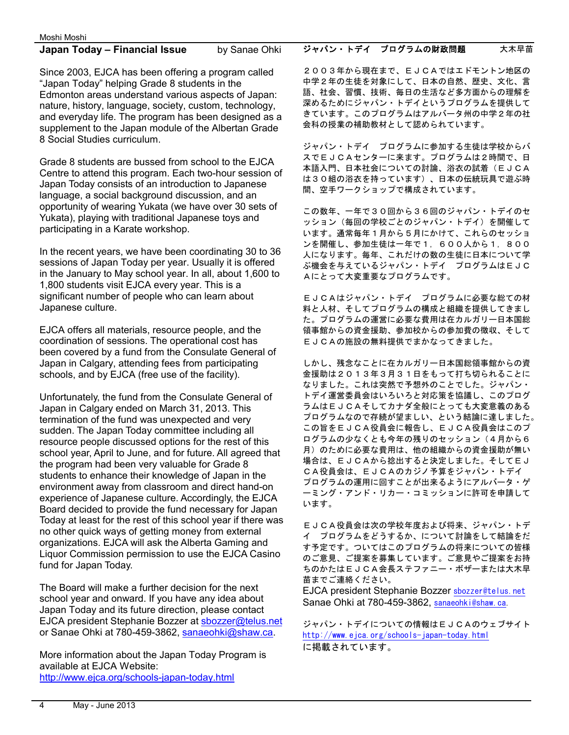#### **Japan Today – Financial Issue** by Sanae Ohki

Since 2003, EJCA has been offering a program called "Japan Today" helping Grade 8 students in the Edmonton areas understand various aspects of Japan: nature, history, language, society, custom, technology, and everyday life. The program has been designed as a supplement to the Japan module of the Albertan Grade 8 Social Studies curriculum.

Grade 8 students are bussed from school to the EJCA Centre to attend this program. Each two-hour session of Japan Today consists of an introduction to Japanese language, a social background discussion, and an opportunity of wearing Yukata (we have over 30 sets of Yukata), playing with traditional Japanese toys and participating in a Karate workshop.

In the recent years, we have been coordinating 30 to 36 sessions of Japan Today per year. Usually it is offered in the January to May school year. In all, about 1,600 to 1,800 students visit EJCA every year. This is a significant number of people who can learn about Japanese culture.

EJCA offers all materials, resource people, and the coordination of sessions. The operational cost has been covered by a fund from the Consulate General of Japan in Calgary, attending fees from participating schools, and by EJCA (free use of the facility).

Unfortunately, the fund from the Consulate General of Japan in Calgary ended on March 31, 2013. This termination of the fund was unexpected and very sudden. The Japan Today committee including all resource people discussed options for the rest of this school year, April to June, and for future. All agreed that the program had been very valuable for Grade 8 students to enhance their knowledge of Japan in the environment away from classroom and direct hand-on experience of Japanese culture. Accordingly, the EJCA Board decided to provide the fund necessary for Japan Today at least for the rest of this school year if there was no other quick ways of getting money from external organizations. EJCA will ask the Alberta Gaming and Liquor Commission permission to use the EJCA Casino fund for Japan Today.

The Board will make a further decision for the next school year and onward. If you have any idea about Japan Today and its future direction, please contact EJCA president Stephanie Bozzer at sbozzer@telus.net or Sanae Ohki at 780-459-3862, sanaeohki@shaw.ca.

More information about the Japan Today Program is available at EJCA Website: http://www.ejca.org/schools-japan-today.html

#### ジャパン・トデイ プログラムの財政問題 大木早苗

2003年から現在まで、EJCAではエドモントン地区の 中学2年の生徒を対象にして、日本の自然、歴史、文化、言 語、社会、習慣、技術、毎日の生活など多方面からの理解を 深めるためにジャパン・トデイというプログラムを提供して きています。このプログラムはアルバータ州の中学2年の社 会科の授業の補助教材として認められています。

ジャパン・トデイ プログラムに参加する生徒は学校からバ スでEJCAセンターに来ます。プログラムは2時間で、日 本語入門、日本社会についての討論、浴衣の試着(EJCA は30組の浴衣を持っています)、日本の伝統玩具で遊ぶ時 間、空手ワークショップで構成されています。

この数年、一年で30回から36回のジャパン・トデイのセ ッション(毎回の学校ごとのジャパン・トデイ)を開催して います。通常毎年1月から5月にかけて、これらのセッショ ンを開催し、参加生徒は一年で1,600人から1,800 人になります。毎年、これだけの数の生徒に日本について学 ぶ機会を与えているジャパン・トデイ プログラムはEJC Aにとって大変重要なプログラムです。

EJCAはジャパン・トデイ プログラムに必要な総ての材 料と人材、そしてプログラムの構成と組織を提供してきまし た。プログラムの運営に必要な費用は在カルガリー日本国総 領事館からの資金援助、参加校からの参加費の徴収、そして EJCAの施設の無料提供でまかなってきました。

しかし、残念なことに在カルガリー日本国総領事館からの資 金援助は2013年3月31日をもって打ち切られることに なりました。これは突然で予想外のことでした。ジャパン・ トデイ運営委員会はいろいろと対応策を協議し、このプログ ラムはEJCAそしてカナダ全般にとっても大変意義のある プログラムなので存続が望ましい、という結論に達しました。 この旨をEJCA役員会に報告し、EJCA役員会はこのプ ログラムの少なくとも今年の残りのセッション(4月から6 月)のために必要な費用は、他の組織からの資金援助が無い 場合は、EJCAから捻出すると決定しました。そしてEJ CA役員会は、EJCAのカジノ予算をジャパン・トデイ プログラムの運用に回すことが出来るようにアルバータ・ゲ ーミング・アンド・リカー・コミッションに許可を申請して います。

EJCA役員会は次の学校年度および将来、ジャパン・トデ イ プログラムをどうするか、について討論をして結論をだ す予定です。ついてはこのプログラムの将来についての皆様 のご意見、ご提案を募集しています。ご意見やご提案をお持 ちのかたはEJCA会長ステファニー・ボザーまたは大木早 苗までご連絡ください。

EJCA president Stephanie Bozzer sbozzer@telus.net Sanae Ohki at 780-459-3862, sanaeohki@shaw.ca.

ジャパン・トデイについての情報はEJCAのウェブサイト http://www.ejca.org/schools-japan-today.html に掲載されています。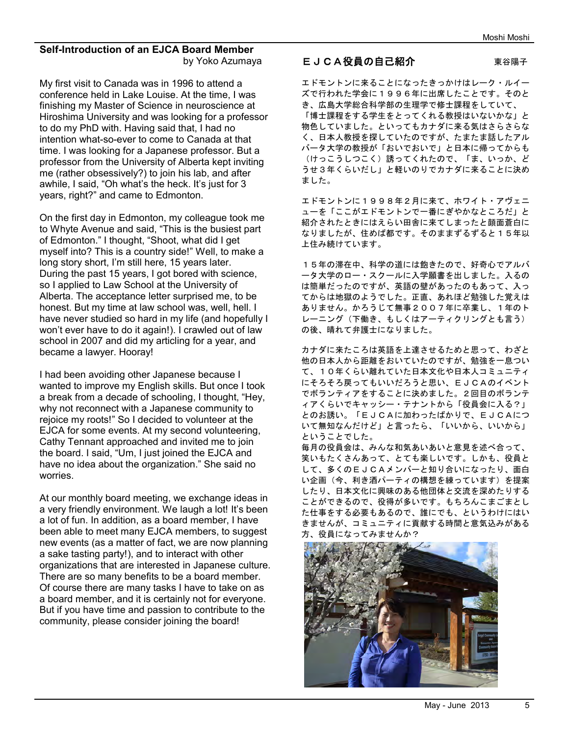#### **Self-Introduction of an EJCA Board Member**  by Yoko Azumaya

My first visit to Canada was in 1996 to attend a conference held in Lake Louise. At the time, I was finishing my Master of Science in neuroscience at Hiroshima University and was looking for a professor to do my PhD with. Having said that, I had no intention what-so-ever to come to Canada at that time. I was looking for a Japanese professor. But a professor from the University of Alberta kept inviting me (rather obsessively?) to join his lab, and after awhile, I said, "Oh what's the heck. It's just for 3 years, right?" and came to Edmonton.

On the first day in Edmonton, my colleague took me to Whyte Avenue and said, "This is the busiest part of Edmonton." I thought, "Shoot, what did I get myself into? This is a country side!" Well, to make a long story short, I'm still here, 15 years later. During the past 15 years, I got bored with science, so I applied to Law School at the University of Alberta. The acceptance letter surprised me, to be honest. But my time at law school was, well, hell. I have never studied so hard in my life (and hopefully I won't ever have to do it again!). I crawled out of law school in 2007 and did my articling for a year, and became a lawyer. Hooray!

I had been avoiding other Japanese because I wanted to improve my English skills. But once I took a break from a decade of schooling, I thought, "Hey, why not reconnect with a Japanese community to rejoice my roots!" So I decided to volunteer at the EJCA for some events. At my second volunteering, Cathy Tennant approached and invited me to join the board. I said, "Um, I just joined the EJCA and have no idea about the organization." She said no worries.

At our monthly board meeting, we exchange ideas in a very friendly environment. We laugh a lot! It's been a lot of fun. In addition, as a board member, I have been able to meet many EJCA members, to suggest new events (as a matter of fact, we are now planning a sake tasting party!), and to interact with other organizations that are interested in Japanese culture. There are so many benefits to be a board member. Of course there are many tasks I have to take on as a board member, and it is certainly not for everyone. But if you have time and passion to contribute to the community, please consider joining the board!

#### EJCA役員の自己紹介 東谷陽子

エドモントンに来ることになったきっかけはレーク・ルイー ズで行われた学会に1996年に出席したことです。そのと き、広島大学総合科学部の生理学で修士課程をしていて、 「博士課程をする学生をとってくれる教授はいないかな」と 物色していました。といってもカナダに来る気はさらさらな く、日本人教授を探していたのですが、たまたま話したアル バータ大学の教授が「おいでおいで」と日本に帰ってからも (けっこうしつこく)誘ってくれたので、「ま、いっか、ど うせ3年くらいだし」と軽いのりでカナダに来ることに決め ました。

エドモントンに1998年2月に来て、ホワイト・アヴェニ ューを「ここがエドモントンで一番にぎやかなところだ」と 紹介されたときにはえらい田舎に来てしまったと顔面蒼白に なりましたが、住めば都です。そのままずるずると15年以 上住み続けています。

15年の滞在中、科学の道には飽きたので、好奇心でアルバ ータ大学のロー・スクールに入学願書を出しました。入るの は簡単だったのですが、英語の壁があったのもあって、入っ てからは地獄のようでした。正直、あれほど勉強した覚えは ありません。かろうじて無事2007年に卒業し、1年のト レーニング(下働き、もしくはアーティクリングとも言う) の後、晴れて弁護士になりました。

カナダに来たころは英語を上達させるためと思って、わざと 他の日本人から距離をおいていたのですが、勉強を一息つい て、10年くらい離れていた日本文化や日本人コミュニティ にそろそろ戻ってもいいだろうと思い、EJCAのイベント でボランティアをすることに決めました。2回目のボランテ ィアくらいでキャッシー・テナントから「役員会に入る?」 とのお誘い。「EJCAに加わったばかりで、EJCAにつ いて無知なんだけど」と言ったら、「いいから、いいから」 ということでした。

毎月の役員会は、みんな和気あいあいと意見を述べ合って、 笑いもたくさんあって、とても楽しいです。しかも、役員と して、多くのEJCAメンバーと知り合いになったり、面白 い企画(今、利き酒パーティの構想を練っています)を提案 したり、日本文化に興味のある他団体と交流を深めたりする ことができるので、役得が多いです。もちろんこまごまとし た仕事をする必要もあるので、誰にでも、というわけにはい きませんが、コミュニティに貢献する時間と意気込みがある 方、役員になってみませんか?

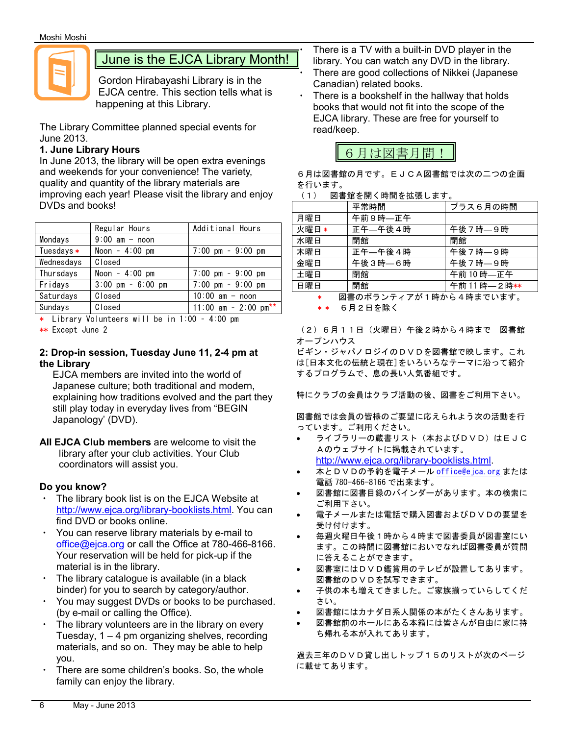

## June is the EJCA Library Month!

Gordon Hirabayashi Library is in the EJCA centre. This section tells what is happening at this Library.

The Library Committee planned special events for June 2013.

#### **1. June Library Hours**

In June 2013, the library will be open extra evenings and weekends for your convenience! The variety, quality and quantity of the library materials are improving each year! Please visit the library and enjoy DVDs and books!

|            | Regular Hours                       | Additional Hours                    |
|------------|-------------------------------------|-------------------------------------|
| Mondays    | $9:00$ am - noon                    |                                     |
| Tuesdays * | Noon $-4:00$ pm                     | $7:00 \text{ pm} - 9:00 \text{ pm}$ |
| Wednesdays | Closed                              |                                     |
| Thursdays  | Noon $-4:00$ pm                     | $7:00 \text{ pm} - 9:00 \text{ pm}$ |
| Fridays    | $3:00 \text{ pm} - 6:00 \text{ pm}$ | $7:00 \text{ pm} - 9:00 \text{ pm}$ |
| Saturdays  | Closed                              | $10:00$ am - noon                   |
| Sundavs    | Closed                              | 11:00 am - 2:00 $pm**$              |

\* Library Volunteers will be in 1:00 – 4:00 pm

\*\* Except June 2

#### **2: Drop-in session, Tuesday June 11, 2-4 pm at the Library**

EJCA members are invited into the world of Japanese culture; both traditional and modern, explaining how traditions evolved and the part they still play today in everyday lives from "BEGIN Japanology' (DVD).

**All EJCA Club members** are welcome to visit the library after your club activities. Your Club coordinators will assist you.

#### **Do you know?**

- The library book list is on the EJCA Website at http://www.ejca.org/library-booklists.html. You can find DVD or books online.
- You can reserve library materials by e-mail to office@ejca.org or call the Office at 780-466-8166. Your reservation will be held for pick-up if the material is in the library.
- The library catalogue is available (in a black binder) for you to search by category/author.
- You may suggest DVDs or books to be purchased. (by e-mail or calling the Office).
- The library volunteers are in the library on every Tuesday,  $1 - 4$  pm organizing shelves, recording materials, and so on. They may be able to help you.
- There are some children's books. So, the whole family can enjoy the library.

There is a TV with a built-in DVD player in the library. You can watch any DVD in the library. There are good collections of Nikkei (Japanese) Canadian) related books.

There is a bookshelf in the hallway that holds books that would not fit into the scope of the EJCA library. These are free for yourself to read/keep.



6月は図書館の月です。EJCA図書館では次の二つの企画 を行います。

|       | 平常時間    | プラス6月の時間     |
|-------|---------|--------------|
| 月曜日   | 午前9時–正午 |              |
| 火曜日 * | 正午—午後4時 | 午後7時—9時      |
| 水曜日   | 閉館      | 閉館           |
| 木曜日   | 正午—午後4時 | 午後7時–9時      |
| 金曜日   | 午後3時–6時 | 午後7時–9時      |
| 土曜日   | 閉館      | 午前10時–正午     |
| 日曜日   | 閉館      | 午前11時 - 2時** |

図書のボランティアが1時から4時までいます。 6月2日を除く

(2)6月11日(火曜日)午後2時から4時まで 図書館 オープンハウス

ビギン・ジャパノロジイのDVDを図書館で映します。これ は[日本文化の伝統と現在]をいろいろなテーマに沿って紹介 するプログラムで、息の長い人気番組です。

特にクラブの会員はクラブ活動の後、図書をご利用下さい。

図書館では会員の皆様のご要望に応えられよう次の活動を行 っています。ご利用ください。

- ライブラリーの蔵書リスト(本およびDVD)はEJC Aのウェブサイトに掲載されています。 http://www.ejca.org/library-booklists.html.
- 本とDVDの予約を電子メール office@ejca.org または 電話 780-466-8166 で出来ます。
- 図書館に図書目録のバインダーがあります。本の検索に ご利用下さい。
- 電子メールまたは電話で購入図書およびDVDの要望を 受け付けます。
- · 毎週火曜日午後1時から4時まで図書委員が図書室にい ます。この時間に図書館においでなれば図書委員が質問 に答えることができます。
- · 図書室にはDVD鑑賞用のテレビが設置してあります。 図書館のDVDを試写できます。
- 子供の本も増えてきました。ご家族揃っていらしてくだ さい。
- 図書館にはカナダ日系人関係の本がたくさんあります。
- 図書館前のホールにある本箱には皆さんが自由に家に持 ち帰れる本が入れてあります。

過去三年のDVD貸し出しトップ15のリストが次のページ に載せてあります。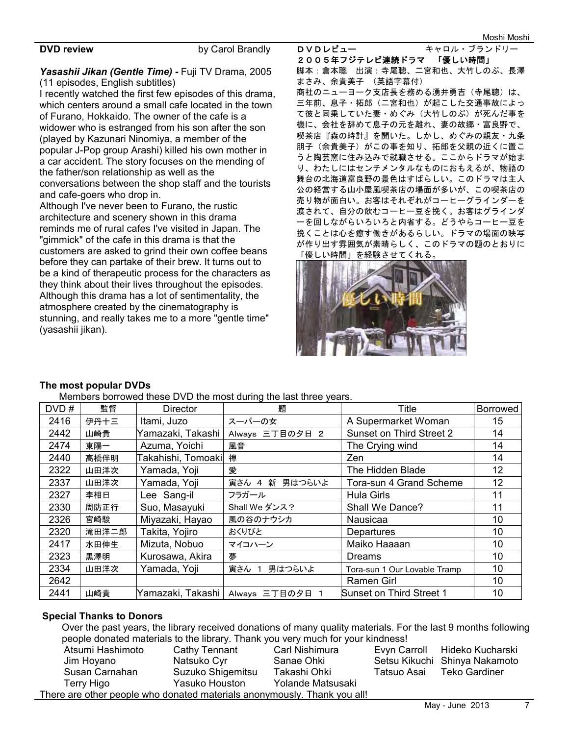**DVD review by Carol Brandly** 

#### *Yasashii Jikan (Gentle Time) -* Fuji TV Drama, 2005 (11 episodes, English subtitles)

I recently watched the first few episodes of this drama, which centers around a small cafe located in the town of Furano, Hokkaido. The owner of the cafe is a widower who is estranged from his son after the son (played by Kazunari Ninomiya, a member of the popular J-Pop group Arashi) killed his own mother in a car accident. The story focuses on the mending of the father/son relationship as well as the conversations between the shop staff and the tourists and cafe-goers who drop in.

Although I've never been to Furano, the rustic architecture and scenery shown in this drama reminds me of rural cafes I've visited in Japan. The "gimmick" of the cafe in this drama is that the customers are asked to grind their own coffee beans before they can partake of their brew. It turns out to be a kind of therapeutic process for the characters as they think about their lives throughout the episodes. Although this drama has a lot of sentimentality, the atmosphere created by the cinematography is stunning, and really takes me to a more "gentle time" (yasashii jikan).

DVDレビュー キャロル・ブランドリー 2005年フジテレビ連続ドラマ 「優しい時間」 脚本:倉本聰 出演:寺尾聰、二宮和也、大竹しのぶ、長澤 まさみ、余貴美子 (英語字幕付)

商社のニューヨーク支店長を務める湧井勇吉(寺尾聰)は、 三年前、息子・拓郎(二宮和也)が起こした交通事故によっ て彼と同乗していた妻・めぐみ(大竹しのぶ)が死んだ事を 機に、会社を辞めて息子の元を離れ、妻の故郷・富良野で、 喫茶店『森の時計』を開いた。しかし、めぐみの親友・九条 朋子(余貴美子)がこの事を知り、拓郎を父親の近くに置こ うと陶芸窯に住み込みで就職させる。ここからドラマが始ま り、わたしにはセンチメンタルなものにおもえるが、物語の 舞台の北海道富良野の景色はすばらしい。このドラマは主人 公の経営する山小屋風喫茶店の場面が多いが、この喫茶店の 売り物が面白い。お客はそれぞれがコーヒーグラインダーを 渡されて、自分の飲むコーヒー豆を挽く。お客はグラインダ ーを回しながらいろいろと内省する。どうやらコーヒー豆を 挽くことは心を癒す働きがあるらしい。ドラマの場面の映写 が作り出す雰囲気が素晴らしく、このドラマの題のとおりに 「優しい時間」を経験させてくれる。



#### **The most popular DVDs**

Members borrowed these DVD the most during the last three years.

| DVD# | 監督    | <b>Director</b>    | 題                                   | Title                        | Borrowed        |
|------|-------|--------------------|-------------------------------------|------------------------------|-----------------|
| 2416 | 伊丹十三  | Itami, Juzo        | スーパーの女                              | A Supermarket Woman          | 15              |
| 2442 | 山崎貴   | Yamazaki, Takashi  | Always 三丁目の夕日 2                     | Sunset on Third Street 2     | 14              |
| 2474 | 東陽一   | Azuma, Yoichi      | 風音                                  | The Crying wind              | 14              |
| 2440 | 高橋伴明  | Takahishi, Tomoaki | 禅                                   | Zen                          | 14              |
| 2322 | 山田洋次  | Yamada, Yoji       | 愛                                   | The Hidden Blade             | 12              |
| 2337 | 山田洋次  | Yamada, Yoji       | 寅さん 4 新 男はつらいよ                      | Tora-sun 4 Grand Scheme      | 12 <sup>2</sup> |
| 2327 | 李相日   | Lee Sang-il        | フラガール                               | <b>Hula Girls</b>            | 11              |
| 2330 | 周防正行  | Suo, Masayuki      | Shall We ダンス?                       | Shall We Dance?              | 11              |
| 2326 | 宮崎駿   | Miyazaki, Hayao    | 風の谷のナウシカ                            | <b>Nausicaa</b>              | 10              |
| 2320 | 滝田洋二郎 | Takita, Yojiro     | おくりびと                               | Departures                   | 10              |
| 2417 | 水田伸生  | Mizuta, Nobuo      | マイコハーン                              | Maiko Haaaan                 | 10              |
| 2323 | 黒澤明   | Kurosawa, Akira    | 夢                                   | <b>Dreams</b>                | 10              |
| 2334 | 山田洋次  | Yamada, Yoji       | 寅さん 1<br>男はつらいよ                     | Tora-sun 1 Our Lovable Tramp | 10              |
| 2642 |       |                    |                                     | Ramen Girl                   | 10              |
| 2441 | 山崎貴   |                    | Yamazaki, Takashi   Always 三丁目の夕日 1 | Sunset on Third Street 1     | 10              |

#### **Special Thanks to Donors**

Over the past years, the library received donations of many quality materials. For the last 9 months following people donated materials to the library. Thank you very much for your kindness!

| Atsumi Hashimoto                                                         | Cathy Tennant     | Carl Nishimura    |             | Evyn Carroll Hideko Kucharski |  |
|--------------------------------------------------------------------------|-------------------|-------------------|-------------|-------------------------------|--|
| Jim Hoyano                                                               | Natsuko Cyr       | Sanae Ohki        |             | Setsu Kikuchi Shinya Nakamoto |  |
| Susan Carnahan                                                           | Suzuko Shigemitsu | Takashi Ohki      | Tatsuo Asai | Teko Gardiner                 |  |
| Terry Higo                                                               | Yasuko Houston    | Yolande Matsusaki |             |                               |  |
| There are other people who donated materials anonymously. Thank you all! |                   |                   |             |                               |  |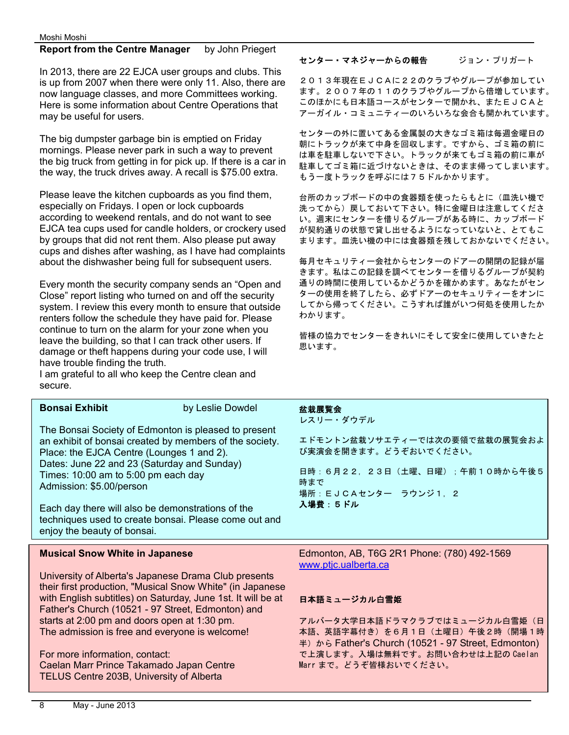#### **Report from the Centre Manager** by John Priegert

In 2013, there are 22 EJCA user groups and clubs. This is up from 2007 when there were only 11. Also, there are now language classes, and more Committees working. Here is some information about Centre Operations that may be useful for users.

The big dumpster garbage bin is emptied on Friday mornings. Please never park in such a way to prevent the big truck from getting in for pick up. If there is a car in the way, the truck drives away. A recall is \$75.00 extra.

Please leave the kitchen cupboards as you find them, especially on Fridays. I open or lock cupboards according to weekend rentals, and do not want to see EJCA tea cups used for candle holders, or crockery used by groups that did not rent them. Also please put away cups and dishes after washing, as I have had complaints about the dishwasher being full for subsequent users.

Every month the security company sends an "Open and Close" report listing who turned on and off the security system. I review this every month to ensure that outside renters follow the schedule they have paid for. Please continue to turn on the alarm for your zone when you leave the building, so that I can track other users. If damage or theft happens during your code use, I will have trouble finding the truth.

I am grateful to all who keep the Centre clean and secure.

| <b>Bonsai Exhibit</b>                                                                                                                                       | by Leslie Dowdel                                                                                                |
|-------------------------------------------------------------------------------------------------------------------------------------------------------------|-----------------------------------------------------------------------------------------------------------------|
| Place: the EJCA Centre (Lounges 1 and 2).<br>Dates: June 22 and 23 (Saturday and Sunday)<br>Times: 10:00 am to 5:00 pm each day<br>Admission: \$5.00/person | The Bonsai Society of Edmonton is pleased to present<br>an exhibit of bonsai created by members of the society. |
|                                                                                                                                                             |                                                                                                                 |

Each day there will also be demonstrations of the techniques used to create bonsai. Please come out and enjoy the beauty of bonsai.

#### **Musical Snow White in Japanese**

University of Alberta's Japanese Drama Club presents their first production, "Musical Snow White" (in Japanese with English subtitles) on Saturday, June 1st. It will be at Father's Church (10521 - 97 Street, Edmonton) and starts at 2:00 pm and doors open at 1:30 pm. The admission is free and everyone is welcome!

For more information, contact: Caelan Marr Prince Takamado Japan Centre TELUS Centre 203B, University of Alberta

#### センター・マネジャーからの報告 ジョン・プリガート

2013年現在EJCAに22のクラブやグループが参加してい ます。2007年の11のクラブやグループから倍増しています。 このほかにも日本語コースがセンターで開かれ、またEJCAと アーガイル・コミュニティーのいろいろな会合も開かれています。

センターの外に置いてある金属製の大きなゴミ箱は毎週金曜日の 朝にトラックが来て中身を回収します。ですから、ゴミ箱の前に は車を駐車しないで下さい。トラックが来てもゴミ箱の前に車が 駐車してゴミ箱に近づけないときは、そのまま帰ってしまいます。 もう一度トラックを呼ぶには75ドルかかります。

台所のカップボードの中の食器類を使ったらもとに(皿洗い機で 洗ってから)戻しておいて下さい。特に金曜日は注意してくださ い。週末にセンターを借りるグループがある時に、カップボード が契約通りの状態で貸し出せるようになっていないと、とてもこ まります。皿洗い機の中には食器類を残しておかないでください。

毎月セキュリティー会社からセンターのドアーの開閉の記録が届 きます。私はこの記録を調べてセンターを借りるグループが契約 通りの時間に使用しているかどうかを確かめます。あなたがセン ターの使用を終了したら、必ずドアーのセキュリティーをオンに してから帰ってください。こうすれば誰がいつ何処を使用したか わかります。

皆様の協力でセンターをきれいにそして安全に使用していきたと 思います。

#### 盆栽展覧会

レスリー・ダウデル

エドモントン盆栽ソサエティーでは次の要領で盆栽の展覧会およ び実演会を開きます。どうぞおいでください。

日時: 6月22, 23日 (土曜、日曜);午前10時から午後5 時まで 場所: EJCAセンター ラウンジ1, 2 入場費:5ドル

Edmonton, AB, T6G 2R1 Phone: (780) 492-1569 www.ptjc.ualberta.ca

#### 日本語ミュージカル白雪姫

アルバータ大学日本語ドラマクラブではミュージカル白雪姫(日 本語、英語字幕付き)を6月1日(土曜日)午後2時(開場1時 半) から Father's Church (10521 - 97 Street, Edmonton) で上演します。入場は無料です。お問い合わせは上記の Caelan Marr まで。どうぞ皆様おいでください。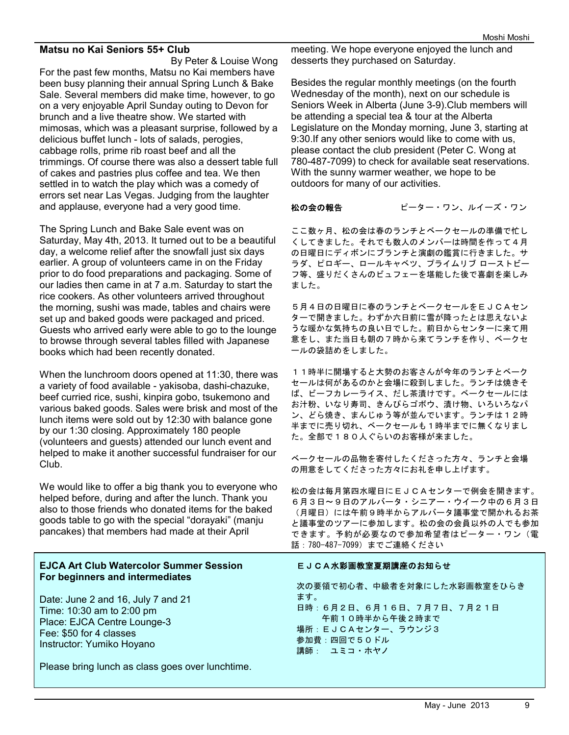#### **Matsu no Kai Seniors 55+ Club**

By Peter & Louise Wong For the past few months, Matsu no Kai members have been busy planning their annual Spring Lunch & Bake Sale. Several members did make time, however, to go on a very enjoyable April Sunday outing to Devon for brunch and a live theatre show. We started with mimosas, which was a pleasant surprise, followed by a delicious buffet lunch - lots of salads, perogies, cabbage rolls, prime rib roast beef and all the trimmings. Of course there was also a dessert table full of cakes and pastries plus coffee and tea. We then settled in to watch the play which was a comedy of errors set near Las Vegas. Judging from the laughter and applause, everyone had a very good time.

The Spring Lunch and Bake Sale event was on Saturday, May 4th, 2013. It turned out to be a beautiful day, a welcome relief after the snowfall just six days earlier. A group of volunteers came in on the Friday prior to do food preparations and packaging. Some of our ladies then came in at 7 a.m. Saturday to start the rice cookers. As other volunteers arrived throughout the morning, sushi was made, tables and chairs were set up and baked goods were packaged and priced. Guests who arrived early were able to go to the lounge to browse through several tables filled with Japanese books which had been recently donated.

When the lunchroom doors opened at 11:30, there was a variety of food available - yakisoba, dashi-chazuke, beef curried rice, sushi, kinpira gobo, tsukemono and various baked goods. Sales were brisk and most of the lunch items were sold out by 12:30 with balance gone by our 1:30 closing. Approximately 180 people (volunteers and guests) attended our lunch event and helped to make it another successful fundraiser for our Club.

We would like to offer a big thank you to everyone who helped before, during and after the lunch. Thank you also to those friends who donated items for the baked goods table to go with the special "dorayaki" (manju pancakes) that members had made at their April

#### **EJCA Art Club Watercolor Summer Session For beginners and intermediates**

Date: June 2 and 16, July 7 and 21 Time: 10:30 am to 2:00 pm Place: EJCA Centre Lounge-3 Fee: \$50 for 4 classes Instructor: Yumiko Hoyano

Please bring lunch as class goes over lunchtime.

meeting. We hope everyone enjoyed the lunch and desserts they purchased on Saturday.

Besides the regular monthly meetings (on the fourth Wednesday of the month), next on our schedule is Seniors Week in Alberta (June 3-9).Club members will be attending a special tea & tour at the Alberta Legislature on the Monday morning, June 3, starting at 9:30.If any other seniors would like to come with us, please contact the club president (Peter C. Wong at 780-487-7099) to check for available seat reservations. With the sunny warmer weather, we hope to be outdoors for many of our activities.

#### 松の会の報告ピーター・ワン、ルイーズ・ワン

ここ数ヶ月、松の会は春のランチとベークセールの準備で忙し くしてきました。それでも数人のメンバーは時間を作って4月 の日曜日にディボンにブランチと演劇の鑑賞に行きました。サ ラダ、ピロギー、ロールキャベツ、プライムリブ ローストビー フ等、盛りだくさんのビュフェーを堪能した後で喜劇を楽しみ ました。

5月4日の日曜日に春のランチとベークセールをEJCAセン ターで開きました。わずか六日前に雪が降ったとは思えないよ うな暖かな気持ちの良い日でした。前日からセンターに来て用 意をし、また当日も朝の7時から来てランチを作り、ベークセ ールの袋詰めをしました。

11時半に開場すると大勢のお客さんが今年のランチとベーク セールは何があるのかと会場に殺到しました。ランチは焼きそ ば、ビーフカレーライス、だし茶漬けです。ベークセールには お汁粉、いなり寿司、きんぴらゴボウ、漬け物、いろいろなパ ン、どら焼き、まんじゅう等が並んでいます。ランチは12時 半までに売り切れ、ベークセールも1時半までに無くなりまし た。全部で180人ぐらいのお客様が来ました。

ベークセールの品物を寄付したくださった方々、ランチと会場 の用意をしてくださった方々にお礼を申し上げます。

松の会は毎月第四水曜日にEJCAセンターで例会を開きます。 6月3日~9日のアルバータ・シニアー・ウイーク中の6月3日 (月曜日)には午前9時半からアルバータ議事堂で開かれるお茶 と議事堂のツアーに参加します。松の会の会員以外の人でも参加 できます。予約が必要なので参加希望者はピーター・ワン(電 話:780-487-7099)までご連絡ください

#### EJCA水彩画教室夏期講座のお知らせ

次の要領で初心者、中級者を対象にした水彩画教室をひらき ます。 日時:6月2日、6月16日、7月7日、7月21日 午前10時半から午後2時まで 場所:EJCAセンター、ラウンジ3 参加費:四回で50ドル 講師: ユミコ・ホヤノ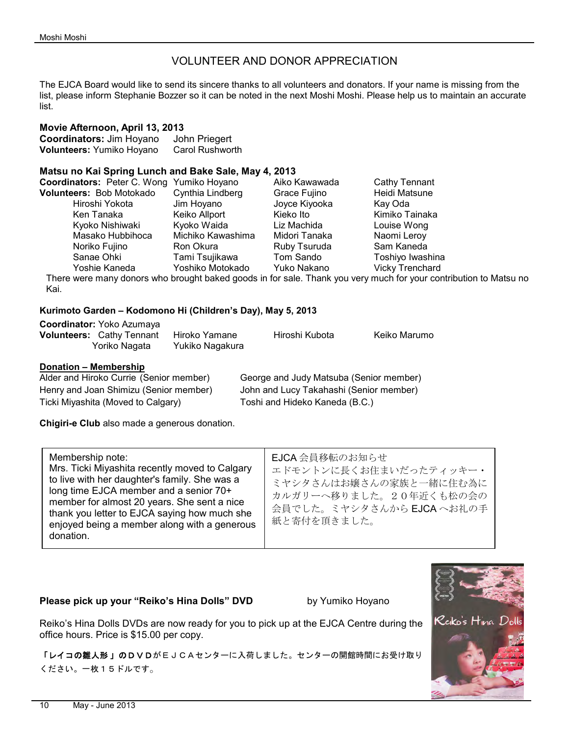#### VOLUNTEER AND DONOR APPRECIATION

The EJCA Board would like to send its sincere thanks to all volunteers and donators. If your name is missing from the list, please inform Stephanie Bozzer so it can be noted in the next Moshi Moshi. Please help us to maintain an accurate list.

#### **Movie Afternoon, April 13, 2013**

**Coordinators:** Jim Hoyano John Priegert **Volunteers:** Yumiko Hoyano Carol Rushworth

#### **Matsu no Kai Spring Lunch and Bake Sale, May 4, 2013**

| <b>Coordinators:</b> Peter C. Wong Yumiko Hoyano |                   | Aiko Kawawada | Cathy Tennant          |
|--------------------------------------------------|-------------------|---------------|------------------------|
| Volunteers: Bob Motokado                         | Cynthia Lindberg  | Grace Fujino  | Heidi Matsune          |
| Hiroshi Yokota                                   | Jim Hoyano        | Joyce Kiyooka | Kay Oda                |
| Ken Tanaka                                       | Keiko Allport     | Kieko Ito     | Kimiko Tainaka         |
| Kyoko Nishiwaki                                  | Kyoko Waida       | Liz Machida   | Louise Wong            |
| Masako Hubbihoca                                 | Michiko Kawashima | Midori Tanaka | Naomi Leroy            |
| Noriko Fujino                                    | Ron Okura         | Ruby Tsuruda  | Sam Kaneda             |
| Sanae Ohki                                       | Tami Tsujikawa    | Tom Sando     | Toshiyo Iwashina       |
| Yoshie Kaneda                                    | Yoshiko Motokado  | Yuko Nakano   | <b>Vicky Trenchard</b> |
|                                                  |                   |               |                        |

There were many donors who brought baked goods in for sale. Thank you very much for your contribution to Matsu no Kai.

#### **Kurimoto Garden – Kodomono Hi (Children's Day), May 5, 2013**

| <b>Coordinator: Yoko Azumaya</b>                  |                                  |                |              |
|---------------------------------------------------|----------------------------------|----------------|--------------|
| <b>Volunteers: Cathy Tennant</b><br>Yoriko Nagata | Hiroko Yamane<br>Yukiko Nagakura | Hiroshi Kubota | Keiko Marumo |
|                                                   |                                  |                |              |

#### **Donation – Membership**

| Alder and Hiroko Currie (Senior member) | George and Judy Matsuba (Senior member) |
|-----------------------------------------|-----------------------------------------|
| Henry and Joan Shimizu (Senior member)  | John and Lucy Takahashi (Senior member) |
| Ticki Miyashita (Moved to Calgary)      | Toshi and Hideko Kaneda (B.C.)          |

**Chigiri-e Club** also made a generous donation.

| Membership note:<br>Mrs. Ticki Miyashita recently moved to Calgary<br>to live with her daughter's family. She was a<br>long time EJCA member and a senior 70+<br>member for almost 20 years. She sent a nice<br>thank you letter to EJCA saying how much she<br>enjoyed being a member along with a generous<br>donation. | EJCA 会員移転のお知らせ<br>エドモントンに長くお住まいだったティッキー・<br>ミヤシタさんはお嬢さんの家族と一緒に住む為に<br>カルガリーへ移りました。20年近くも松の会の<br>会員でした。ミヤシタさんからEJCAへお礼の手<br>紙と寄付を頂きました。 |
|---------------------------------------------------------------------------------------------------------------------------------------------------------------------------------------------------------------------------------------------------------------------------------------------------------------------------|----------------------------------------------------------------------------------------------------------------------------------------|
|---------------------------------------------------------------------------------------------------------------------------------------------------------------------------------------------------------------------------------------------------------------------------------------------------------------------------|----------------------------------------------------------------------------------------------------------------------------------------|

#### **Please pick up your "Reiko's Hina Dolls" DVD** by Yumiko Hoyano

Reiko's Hina Dolls DVDs are now ready for you to pick up at the EJCA Centre during the office hours. Price is \$15.00 per copy.

「レイコの雛人形 」のDVDがEJCAセンターに入荷しました。センターの開館時間にお受け取り ください。一枚15ドルです。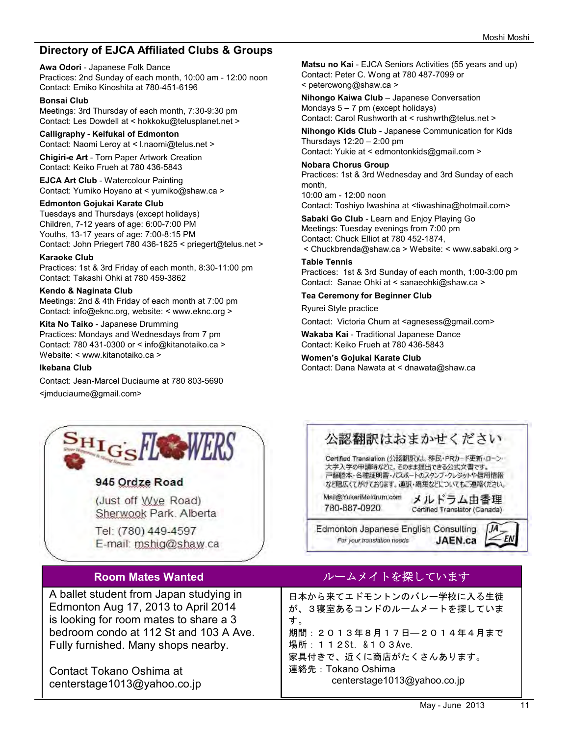#### **Directory of EJCA Affiliated Clubs & Groups**

**Awa Odori** - Japanese Folk Dance Practices: 2nd Sunday of each month, 10:00 am - 12:00 noon Contact: Emiko Kinoshita at 780-451-6196

#### **Bonsai Club**

Meetings: 3rd Thursday of each month, 7:30-9:30 pm Contact: Les Dowdell at < hokkoku@telusplanet.net >

#### **Calligraphy - Keifukai of Edmonton**

Contact: Naomi Leroy at < l.naomi@telus.net >

**Chigiri-e Art** - Torn Paper Artwork Creation Contact: Keiko Frueh at 780 436-5843

**EJCA Art Club** - Watercolour Painting Contact: Yumiko Hoyano at < yumiko@shaw.ca >

#### **Edmonton Gojukai Karate Club**

Tuesdays and Thursdays (except holidays) Children, 7-12 years of age: 6:00-7:00 PM Youths, 13-17 years of age: 7:00-8:15 PM Contact: John Priegert 780 436-1825 < priegert@telus.net >

#### **Karaoke Club**

Practices: 1st & 3rd Friday of each month, 8:30-11:00 pm Contact: Takashi Ohki at 780 459-3862

#### **Kendo & Naginata Club**

Meetings: 2nd & 4th Friday of each month at 7:00 pm Contact: info@eknc.org, website: < www.eknc.org >

**Kita No Taiko** - Japanese Drumming Practices: Mondays and Wednesdays from 7 pm Contact: 780 431-0300 or < info@kitanotaiko.ca > Website: < www.kitanotaiko.ca >

#### **Ikebana Club**

Contact: Jean-Marcel Duciaume at 780 803-5690 <jmduciaume@gmail.com>



#### 945 Ordze Road

(Just off Wye Road) Sherwook Park. Alberta

Tel: (780) 449-4597 E-mail: mshig@shaw.ca

A ballet student from Japan studying in Edmonton Aug 17, 2013 to April 2014 is looking for room mates to share a 3 bedroom condo at 112 St and 103 A Ave. Fully furnished. Many shops nearby.

Contact Tokano Oshima at centerstage1013@yahoo.co.jp **Matsu no Kai** - EJCA Seniors Activities (55 years and up) Contact: Peter C. Wong at 780 487-7099 or < petercwong@shaw.ca >

**Nihongo Kaiwa Club** – Japanese Conversation Mondays  $5 - 7$  pm (except holidays) Contact: Carol Rushworth at < rushwrth@telus.net >

**Nihongo Kids Club** - Japanese Communication for Kids Thursdays 12:20 – 2:00 pm Contact: Yukie at < edmontonkids@gmail.com >

**Nobara Chorus Group**  Practices: 1st & 3rd Wednesday and 3rd Sunday of each month, 10:00 am - 12:00 noon

Contact: Toshiyo Iwashina at <tiwashina@hotmail.com>

**Sabaki Go Club** - Learn and Enjoy Playing Go Meetings: Tuesday evenings from 7:00 pm Contact: Chuck Elliot at 780 452-1874, < Chuckbrenda@shaw.ca > Website: < www.sabaki.org >

#### **Table Tennis**

Practices: 1st & 3rd Sunday of each month, 1:00-3:00 pm Contact: Sanae Ohki at < sanaeohki@shaw.ca >

#### **Tea Ceremony for Beginner Club**

Ryurei Style practice

Contact: Victoria Chum at <agnesess@gmail.com>

**Wakaba Kai** - Traditional Japanese Dance Contact: Keiko Frueh at 780 436-5843

**Women's Gojukai Karate Club**  Contact: Dana Nawata at < dnawata@shaw.ca



Certified Translation (公認翻訳)は、移民·PRカード更新·ローン· 大学入学の申請時などに、そのまま提出できる公式文書です。 戸籍謄本・各種証明書・パスポートのスタンプ・クレジットや信用情報 など幅広くてがけております。通訳·編集などについてもご連絡ください。

Mail@YukariMeldrum.com 780-887-0920

メルドラム由香理 Certified Translator (Canada)

Edmonton Japanese English Consulting For your translation needs JAEN.ca



#### Room Mates Wanted **National Account ストレームメイトを探しています**

日本から来てエドモントンのバレー学校に入る生徒 が、3寝室あるコンドのルームメートを探していま す。 期間:2013年8月17日―2014年4月まで 場所:112St. &103Ave. 家具付きで、近くに商店がたくさんあります。 連絡先:Tokano Oshima centerstage1013@yahoo.co.jp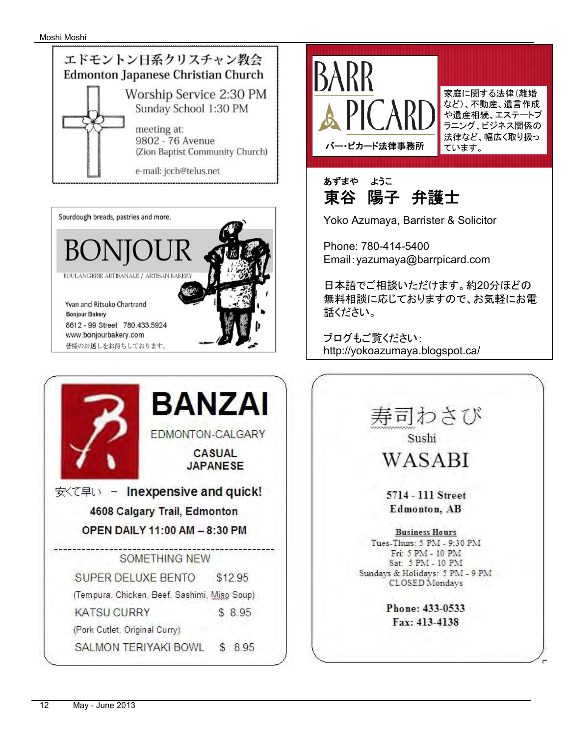







家庭に関する法律(離婚 など)、不動産、遺言作成 や遺産相続、エステートプ ラニング、ビジネス関係の 法律など、幅広く取り扱っ ています。



Yoko Azumaya, Barrister & Solicitor

Phone: 780-414-5400 Email:yazumaya@barrpicard.com

日本語でご相談いただけます。約20分ほどの 無料相談に応じておりますので、お気軽にお電 話ください。

ブログもご覧ください: http://yokoazumaya.blogspot.ca/

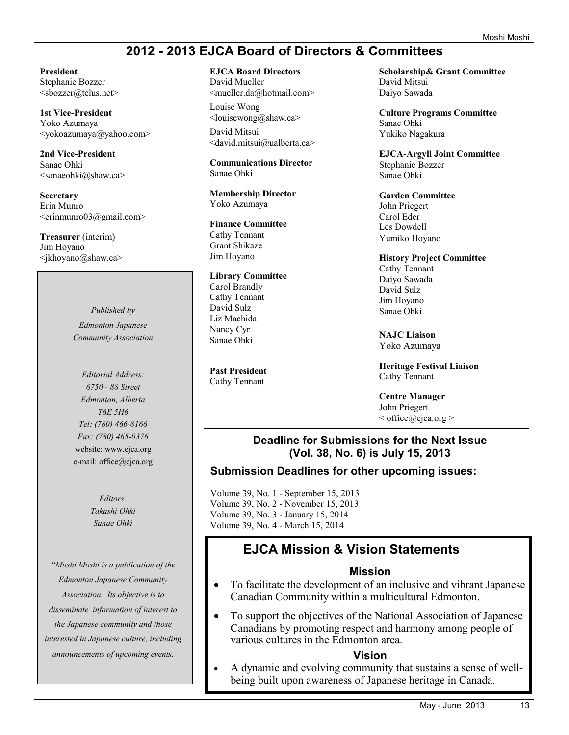### **2012 - 2013 EJCA Board of Directors & Committees**

**President** 

Stephanie Bozzer <sbozzer@telus.net>

**1st Vice-President**  Yoko Azumaya <yokoazumaya@yahoo.com>

**2nd Vice-President**  Sanae Ohki <sanaeohki@shaw.ca>

**Secretary**  Erin Munro <erinmunro03@gmail.com>

**Treasurer** (interim) Jim Hoyano <jkhoyano@shaw.ca>

> *Published by Edmonton Japanese Community Association*

> *Editorial Address: 6750 - 88 Street Edmonton, Alberta T6E 5H6 Tel: (780) 466-8166 Fax: (780) 465-0376*  website: www.ejca.org e-mail: office@ejca.org

> > *Editors: Takashi Ohki Sanae Ohki*

*"Moshi Moshi is a publication of the Edmonton Japanese Community Association. Its objective is to disseminate information of interest to the Japanese community and those interested in Japanese culture, including announcements of upcoming events.* 

**EJCA Board Directors**  David Mueller

<mueller.da@hotmail.com> Louise Wong

<louisewong@shaw.ca> David Mitsui <david.mitsui@ualberta.ca>

**Communications Director**  Sanae Ohki

**Membership Director**  Yoko Azumaya

**Finance Committee**  Cathy Tennant Grant Shikaze Jim Hoyano

**Library Committee** Carol Brandly Cathy Tennant David Sulz Liz Machida Nancy Cyr Sanae Ohki

**Past President**  Cathy Tennant

**Scholarship& Grant Committee**  David Mitsui Daiyo Sawada

**Culture Programs Committee**  Sanae Ohki Yukiko Nagakura

**EJCA-Argyll Joint Committee**  Stephanie Bozzer Sanae Ohki

**Garden Committee**  John Priegert Carol Eder Les Dowdell Yumiko Hoyano

**History Project Committee**  Cathy Tennant Daiyo Sawada David Sulz Jim Hoyano

**NAJC Liaison** Yoko Azumaya

Sanae Ohki

**Heritage Festival Liaison** Cathy Tennant

**Centre Manager** John Priegert  $\leq$  office $\omega$ ejca.org  $>$ 

#### **Deadline for Submissions for the Next Issue (Vol. 38, No. 6) is July 15, 2013**

#### **Submission Deadlines for other upcoming issues:**

Volume 39, No. 1 - September 15, 2013 Volume 39, No. 2 - November 15, 2013 Volume 39, No. 3 - January 15, 2014 Volume 39, No. 4 - March 15, 2014

## **EJCA Mission & Vision Statements**

#### **Mission**

- · To facilitate the development of an inclusive and vibrant Japanese Canadian Community within a multicultural Edmonton.
- · To support the objectives of the National Association of Japanese Canadians by promoting respect and harmony among people of various cultures in the Edmonton area.

#### **Vision**

· A dynamic and evolving community that sustains a sense of wellbeing built upon awareness of Japanese heritage in Canada.